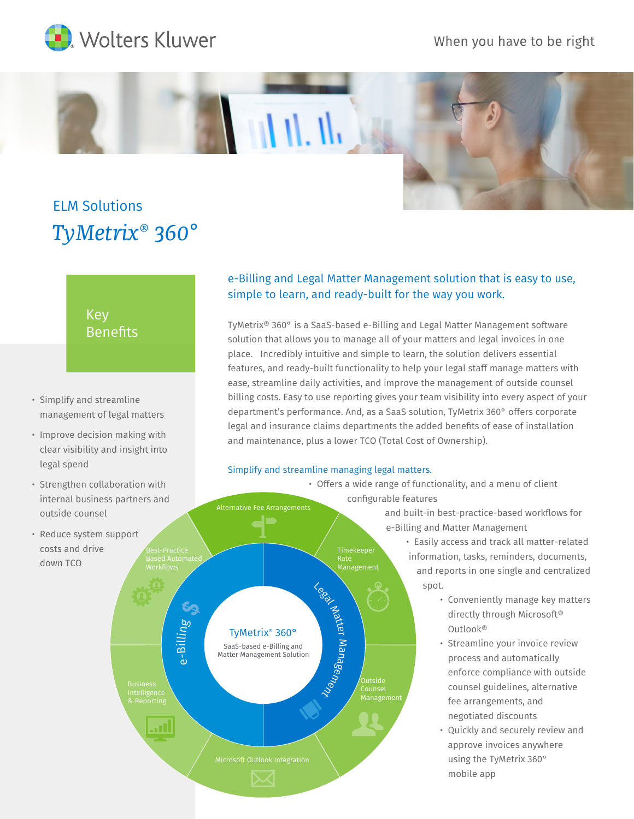

When you have to be right



# *TyMetrix® 360°* ELM Solutions

# Key **Benefits**

- management of legal matters
- Improve decision making with • clear visibility and insight into legal spend
- Strengthen collaboration with internal business partners and outside counsel
- Reduce system support • costs and drive • down TCO

## e-Billing and Legal Matter Management solution that is easy to use, simple to learn, and ready-built for the way you work.

 $\cdot$  Simplify and streamline  $\hskip1cm \hbox{biling costs.}$  Easy to use reporting gives your team visibility into every aspect of your TyMetrix® 360° is a SaaS-based e-Billing and Legal Matter Management software solution that allows you to manage all of your matters and legal invoices in one place. Incredibly intuitive and simple to learn, the solution delivers essential features, and ready-built functionality to help your legal staff manage matters with ease, streamline daily activities, and improve the management of outside counsel department's performance. And, as a SaaS solution, TyMetrix 360° offers corporate legal and insurance claims departments the added benefits of ease of installation and maintenance, plus a lower TCO (Total Cost of Ownership).

### Simplify and streamline managing legal matters.

 • Offers a wide range of functionality, and a menu of client configurable features Alternative Fee Arrangements and built-in best-practice-based workflows for e-Billing and Matter Management • Easily access and track all matter-related information, tasks, reminders, documents, Rate Management and reports in one single and centralized spot. Legal Matter Management • Conveniently manage key matters directly through Microsoft® e-Billing • Outlook® TyMetrix® 360° • Streamline your invoice review SaaS-based e-Billing and Matter Management Solution • process and automatically enforce compliance with outside • counsel guidelines, alternative Counsel Management fee arrangements, and • negotiated discounts .nll • Quickly and securely review and approve invoices anywhere • using the TyMetrix 360° • mobile app